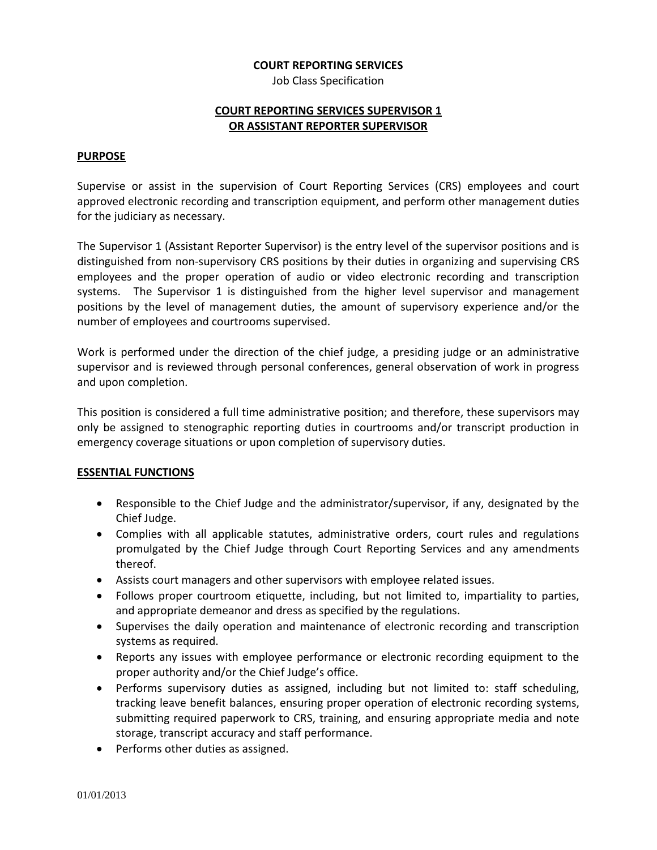#### **COURT REPORTING SERVICES**

Job Class Specification

## **COURT REPORTING SERVICES SUPERVISOR 1 OR ASSISTANT REPORTER SUPERVISOR**

#### **PURPOSE**

Supervise or assist in the supervision of Court Reporting Services (CRS) employees and court approved electronic recording and transcription equipment, and perform other management duties for the judiciary as necessary.

The Supervisor 1 (Assistant Reporter Supervisor) is the entry level of the supervisor positions and is distinguished from non-supervisory CRS positions by their duties in organizing and supervising CRS employees and the proper operation of audio or video electronic recording and transcription systems. The Supervisor 1 is distinguished from the higher level supervisor and management positions by the level of management duties, the amount of supervisory experience and/or the number of employees and courtrooms supervised.

Work is performed under the direction of the chief judge, a presiding judge or an administrative supervisor and is reviewed through personal conferences, general observation of work in progress and upon completion.

This position is considered a full time administrative position; and therefore, these supervisors may only be assigned to stenographic reporting duties in courtrooms and/or transcript production in emergency coverage situations or upon completion of supervisory duties.

# **ESSENTIAL FUNCTIONS**

- Responsible to the Chief Judge and the administrator/supervisor, if any, designated by the Chief Judge.
- Complies with all applicable statutes, administrative orders, court rules and regulations promulgated by the Chief Judge through Court Reporting Services and any amendments thereof.
- Assists court managers and other supervisors with employee related issues.
- Follows proper courtroom etiquette, including, but not limited to, impartiality to parties, and appropriate demeanor and dress as specified by the regulations.
- Supervises the daily operation and maintenance of electronic recording and transcription systems as required.
- Reports any issues with employee performance or electronic recording equipment to the proper authority and/or the Chief Judge's office.
- Performs supervisory duties as assigned, including but not limited to: staff scheduling, tracking leave benefit balances, ensuring proper operation of electronic recording systems, submitting required paperwork to CRS, training, and ensuring appropriate media and note storage, transcript accuracy and staff performance.
- Performs other duties as assigned.